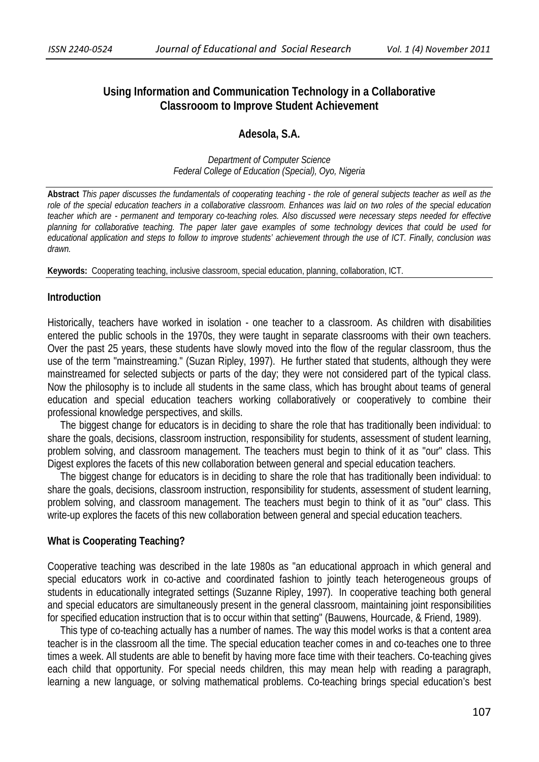# **Using Information and Communication Technology in a Collaborative Classrooom to Improve Student Achievement**

### **Adesola, S.A.**

*Department of Computer Science Federal College of Education (Special), Oyo, Nigeria* 

**Abstract** *This paper discusses the fundamentals of cooperating teaching - the role of general subjects teacher as well as the role of the special education teachers in a collaborative classroom. Enhances was laid on two roles of the special education teacher which are - permanent and temporary co-teaching roles. Also discussed were necessary steps needed for effective planning for collaborative teaching. The paper later gave examples of some technology devices that could be used for educational application and steps to follow to improve students' achievement through the use of ICT. Finally, conclusion was drawn.* 

**Keywords:**Cooperating teaching, inclusive classroom, special education, planning, collaboration, ICT.

#### **Introduction**

Historically, teachers have worked in isolation - one teacher to a classroom. As children with disabilities entered the public schools in the 1970s, they were taught in separate classrooms with their own teachers. Over the past 25 years, these students have slowly moved into the flow of the regular classroom, thus the use of the term "mainstreaming." (Suzan Ripley, 1997). He further stated that students, although they were mainstreamed for selected subjects or parts of the day; they were not considered part of the typical class. Now the philosophy is to include all students in the same class, which has brought about teams of general education and special education teachers working collaboratively or cooperatively to combine their professional knowledge perspectives, and skills.

 The biggest change for educators is in deciding to share the role that has traditionally been individual: to share the goals, decisions, classroom instruction, responsibility for students, assessment of student learning, problem solving, and classroom management. The teachers must begin to think of it as "our" class. This Digest explores the facets of this new collaboration between general and special education teachers.

 The biggest change for educators is in deciding to share the role that has traditionally been individual: to share the goals, decisions, classroom instruction, responsibility for students, assessment of student learning, problem solving, and classroom management. The teachers must begin to think of it as "our" class. This write-up explores the facets of this new collaboration between general and special education teachers.

## **What is Cooperating Teaching?**

Cooperative teaching was described in the late 1980s as "an educational approach in which general and special educators work in co-active and coordinated fashion to jointly teach heterogeneous groups of students in educationally integrated settings (Suzanne Ripley, 1997). In cooperative teaching both general and special educators are simultaneously present in the general classroom, maintaining joint responsibilities for specified education instruction that is to occur within that setting" (Bauwens, Hourcade, & Friend, 1989).

 This type of co-teaching actually has a number of names. The way this model works is that a content area teacher is in the classroom all the time. The special education teacher comes in and co-teaches one to three times a week. All students are able to benefit by having more face time with their teachers. Co-teaching gives each child that opportunity. For special needs children, this may mean help with reading a paragraph, learning a new language, or solving mathematical problems. Co-teaching brings special education's best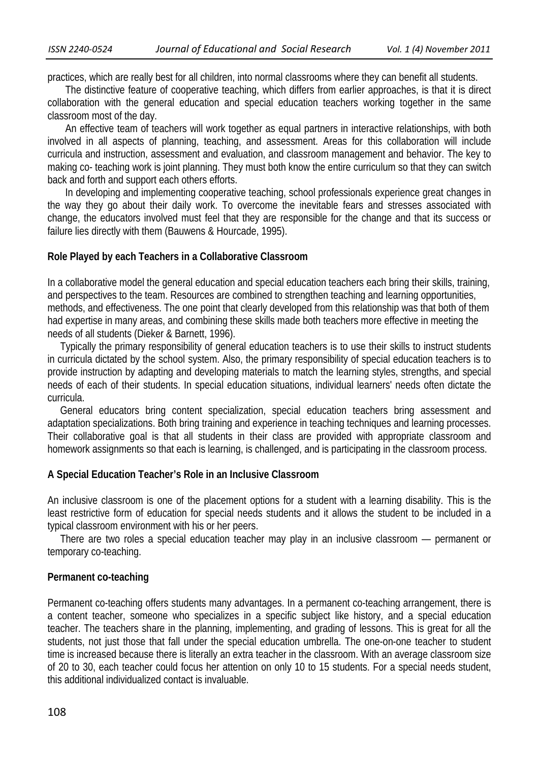practices, which are really best for all children, into normal classrooms where they can benefit all students.

 The distinctive feature of cooperative teaching, which differs from earlier approaches, is that it is direct collaboration with the general education and special education teachers working together in the same classroom most of the day.

 An effective team of teachers will work together as equal partners in interactive relationships, with both involved in all aspects of planning, teaching, and assessment. Areas for this collaboration will include curricula and instruction, assessment and evaluation, and classroom management and behavior. The key to making co- teaching work is joint planning. They must both know the entire curriculum so that they can switch back and forth and support each others efforts.

 In developing and implementing cooperative teaching, school professionals experience great changes in the way they go about their daily work. To overcome the inevitable fears and stresses associated with change, the educators involved must feel that they are responsible for the change and that its success or failure lies directly with them (Bauwens & Hourcade, 1995).

## **Role Played by each Teachers in a Collaborative Classroom**

In a collaborative model the general education and special education teachers each bring their skills, training, and perspectives to the team. Resources are combined to strengthen teaching and learning opportunities, methods, and effectiveness. The one point that clearly developed from this relationship was that both of them had expertise in many areas, and combining these skills made both teachers more effective in meeting the needs of all students (Dieker & Barnett, 1996).

 Typically the primary responsibility of general education teachers is to use their skills to instruct students in curricula dictated by the school system. Also, the primary responsibility of special education teachers is to provide instruction by adapting and developing materials to match the learning styles, strengths, and special needs of each of their students. In special education situations, individual learners' needs often dictate the curricula.

 General educators bring content specialization, special education teachers bring assessment and adaptation specializations. Both bring training and experience in teaching techniques and learning processes. Their collaborative goal is that all students in their class are provided with appropriate classroom and homework assignments so that each is learning, is challenged, and is participating in the classroom process.

# **A Special Education Teacher's Role in an Inclusive Classroom**

An inclusive classroom is one of the placement options for a student with a learning disability. This is the least restrictive form of education for special needs students and it allows the student to be included in a typical classroom environment with his or her peers.

 There are two roles a special education teacher may play in an inclusive classroom — permanent or temporary co-teaching.

### **Permanent co-teaching**

Permanent co-teaching offers students many advantages. In a permanent co-teaching arrangement, there is a content teacher, someone who specializes in a specific subject like history, and a special education teacher. The teachers share in the planning, implementing, and grading of lessons. This is great for all the students, not just those that fall under the special education umbrella. The one-on-one teacher to student time is increased because there is literally an extra teacher in the classroom. With an average classroom size of 20 to 30, each teacher could focus her attention on only 10 to 15 students. For a special needs student, this additional individualized contact is invaluable.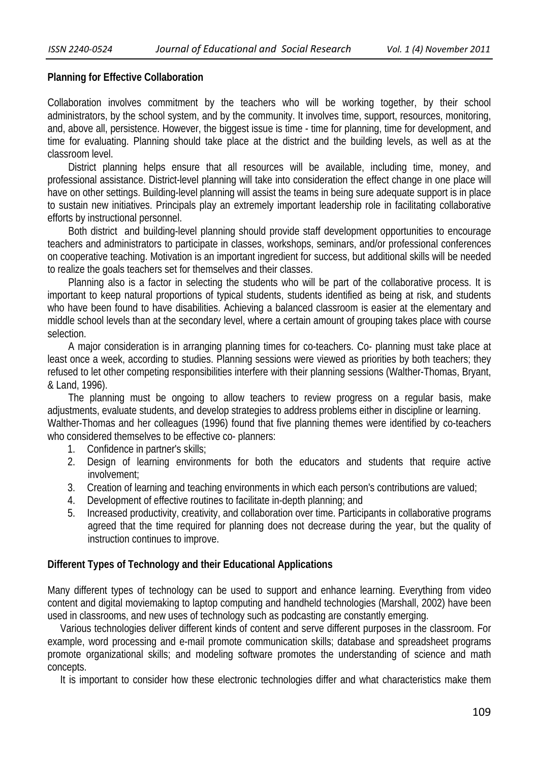## **Planning for Effective Collaboration**

Collaboration involves commitment by the teachers who will be working together, by their school administrators, by the school system, and by the community. It involves time, support, resources, monitoring, and, above all, persistence. However, the biggest issue is time - time for planning, time for development, and time for evaluating. Planning should take place at the district and the building levels, as well as at the classroom level.

 District planning helps ensure that all resources will be available, including time, money, and professional assistance. District-level planning will take into consideration the effect change in one place will have on other settings. Building-level planning will assist the teams in being sure adequate support is in place to sustain new initiatives. Principals play an extremely important leadership role in facilitating collaborative efforts by instructional personnel.

 Both district and building-level planning should provide staff development opportunities to encourage teachers and administrators to participate in classes, workshops, seminars, and/or professional conferences on cooperative teaching. Motivation is an important ingredient for success, but additional skills will be needed to realize the goals teachers set for themselves and their classes.

 Planning also is a factor in selecting the students who will be part of the collaborative process. It is important to keep natural proportions of typical students, students identified as being at risk, and students who have been found to have disabilities. Achieving a balanced classroom is easier at the elementary and middle school levels than at the secondary level, where a certain amount of grouping takes place with course selection.

 A major consideration is in arranging planning times for co-teachers. Co- planning must take place at least once a week, according to studies. Planning sessions were viewed as priorities by both teachers; they refused to let other competing responsibilities interfere with their planning sessions (Walther-Thomas, Bryant, & Land, 1996).

 The planning must be ongoing to allow teachers to review progress on a regular basis, make adjustments, evaluate students, and develop strategies to address problems either in discipline or learning. Walther-Thomas and her colleagues (1996) found that five planning themes were identified by co-teachers who considered themselves to be effective co- planners:

- 1. Confidence in partner's skills;
- 2. Design of learning environments for both the educators and students that require active involvement;
- 3. Creation of learning and teaching environments in which each person's contributions are valued;
- 4. Development of effective routines to facilitate in-depth planning; and
- 5. Increased productivity, creativity, and collaboration over time. Participants in collaborative programs agreed that the time required for planning does not decrease during the year, but the quality of instruction continues to improve.

# **Different Types of Technology and their Educational Applications**

Many different types of technology can be used to support and enhance learning. Everything from video content and digital moviemaking to laptop computing and handheld technologies (Marshall, 2002) have been used in classrooms, and new uses of technology such as podcasting are constantly emerging.

 Various technologies deliver different kinds of content and serve different purposes in the classroom. For example, word processing and e-mail promote communication skills; database and spreadsheet programs promote organizational skills; and modeling software promotes the understanding of science and math concepts.

It is important to consider how these electronic technologies differ and what characteristics make them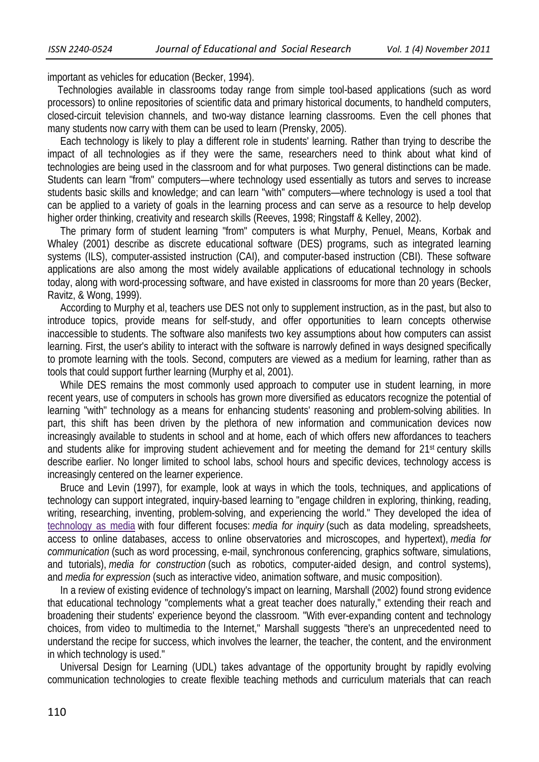important as vehicles for education (Becker, 1994).

 Technologies available in classrooms today range from simple tool-based applications (such as word processors) to online repositories of scientific data and primary historical documents, to handheld computers, closed-circuit television channels, and two-way distance learning classrooms. Even the cell phones that many students now carry with them can be used to learn (Prensky, 2005).

 Each technology is likely to play a different role in students' learning. Rather than trying to describe the impact of all technologies as if they were the same, researchers need to think about what kind of technologies are being used in the classroom and for what purposes. Two general distinctions can be made. Students can learn "from" computers—where technology used essentially as tutors and serves to increase students basic skills and knowledge; and can learn "with" computers—where technology is used a tool that can be applied to a variety of goals in the learning process and can serve as a resource to help develop higher order thinking, creativity and research skills (Reeves, 1998; Ringstaff & Kelley, 2002).

 The primary form of student learning "from" computers is what Murphy, Penuel, Means, Korbak and Whaley (2001) describe as discrete educational software (DES) programs, such as integrated learning systems (ILS), computer-assisted instruction (CAI), and computer-based instruction (CBI). These software applications are also among the most widely available applications of educational technology in schools today, along with word-processing software, and have existed in classrooms for more than 20 years (Becker, Ravitz, & Wong, 1999).

 According to Murphy et al, teachers use DES not only to supplement instruction, as in the past, but also to introduce topics, provide means for self-study, and offer opportunities to learn concepts otherwise inaccessible to students. The software also manifests two key assumptions about how computers can assist learning. First, the user's ability to interact with the software is narrowly defined in ways designed specifically to promote learning with the tools. Second, computers are viewed as a medium for learning, rather than as tools that could support further learning (Murphy et al, 2001).

While DES remains the most commonly used approach to computer use in student learning, in more recent years, use of computers in schools has grown more diversified as educators recognize the potential of learning "with" technology as a means for enhancing students' reasoning and problem-solving abilities. In part, this shift has been driven by the plethora of new information and communication devices now increasingly available to students in school and at home, each of which offers new affordances to teachers and students alike for improving student achievement and for meeting the demand for 21st century skills describe earlier. No longer limited to school labs, school hours and specific devices, technology access is increasingly centered on the learner experience.

 Bruce and Levin (1997), for example, look at ways in which the tools, techniques, and applications of technology can support integrated, inquiry-based learning to "engage children in exploring, thinking, reading, writing, researching, inventing, problem-solving, and experiencing the world." They developed the idea of technology as media with four different focuses: *media for inquiry* (such as data modeling, spreadsheets, access to online databases, access to online observatories and microscopes, and hypertext), *media for communication* (such as word processing, e-mail, synchronous conferencing, graphics software, simulations, and tutorials), *media for construction* (such as robotics, computer-aided design, and control systems), and *media for expression* (such as interactive video, animation software, and music composition).

 In a review of existing evidence of technology's impact on learning, Marshall (2002) found strong evidence that educational technology "complements what a great teacher does naturally," extending their reach and broadening their students' experience beyond the classroom. "With ever-expanding content and technology choices, from video to multimedia to the Internet," Marshall suggests "there's an unprecedented need to understand the recipe for success, which involves the learner, the teacher, the content, and the environment in which technology is used."

 Universal Design for Learning (UDL) takes advantage of the opportunity brought by rapidly evolving communication technologies to create flexible teaching methods and curriculum materials that can reach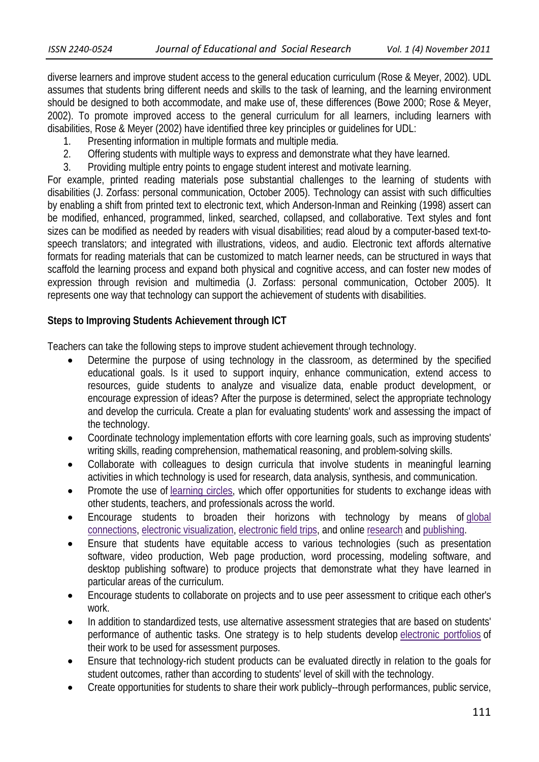diverse learners and improve student access to the general education curriculum (Rose & Meyer, 2002). UDL assumes that students bring different needs and skills to the task of learning, and the learning environment should be designed to both accommodate, and make use of, these differences (Bowe 2000; Rose & Meyer, 2002). To promote improved access to the general curriculum for all learners, including learners with disabilities, Rose & Meyer (2002) have identified three key principles or guidelines for UDL:

- 1. Presenting information in multiple formats and multiple media.
- 2. Offering students with multiple ways to express and demonstrate what they have learned.
- 3. Providing multiple entry points to engage student interest and motivate learning.

For example, printed reading materials pose substantial challenges to the learning of students with disabilities (J. Zorfass: personal communication, October 2005). Technology can assist with such difficulties by enabling a shift from printed text to electronic text, which Anderson-Inman and Reinking (1998) assert can be modified, enhanced, programmed, linked, searched, collapsed, and collaborative. Text styles and font sizes can be modified as needed by readers with visual disabilities; read aloud by a computer-based text-tospeech translators; and integrated with illustrations, videos, and audio. Electronic text affords alternative formats for reading materials that can be customized to match learner needs, can be structured in ways that scaffold the learning process and expand both physical and cognitive access, and can foster new modes of expression through revision and multimedia (J. Zorfass: personal communication, October 2005). It represents one way that technology can support the achievement of students with disabilities.

# **Steps to Improving Students Achievement through ICT**

Teachers can take the following steps to improve student achievement through technology.

- Determine the purpose of using technology in the classroom, as determined by the specified educational goals. Is it used to support inquiry, enhance communication, extend access to resources, guide students to analyze and visualize data, enable product development, or encourage expression of ideas? After the purpose is determined, select the appropriate technology and develop the curricula. Create a plan for evaluating students' work and assessing the impact of the technology.
- Coordinate technology implementation efforts with core learning goals, such as improving students' writing skills, reading comprehension, mathematical reasoning, and problem-solving skills.
- Collaborate with colleagues to design curricula that involve students in meaningful learning activities in which technology is used for research, data analysis, synthesis, and communication.
- Promote the use of learning circles, which offer opportunities for students to exchange ideas with other students, teachers, and professionals across the world.
- Encourage students to broaden their horizons with technology by means of global connections, electronic visualization, electronic field trips, and online research and publishing.
- Ensure that students have equitable access to various technologies (such as presentation software, video production, Web page production, word processing, modeling software, and desktop publishing software) to produce projects that demonstrate what they have learned in particular areas of the curriculum.
- Encourage students to collaborate on projects and to use peer assessment to critique each other's work.
- In addition to standardized tests, use alternative assessment strategies that are based on students' performance of authentic tasks. One strategy is to help students develop electronic portfolios of their work to be used for assessment purposes.
- Ensure that technology-rich student products can be evaluated directly in relation to the goals for student outcomes, rather than according to students' level of skill with the technology.
- Create opportunities for students to share their work publicly--through performances, public service,